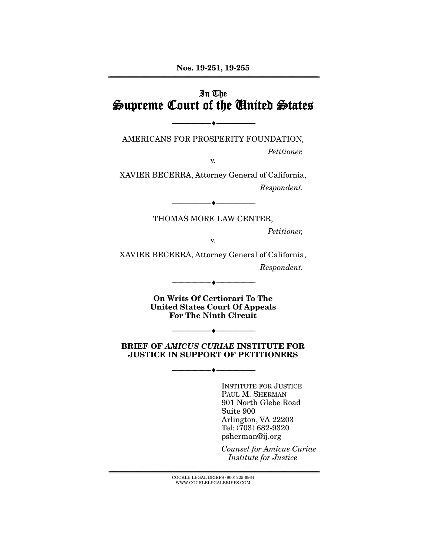## In The Supreme Court of the United States

AMERICANS FOR PROSPERITY FOUNDATION,

--------------------------------- ♦ ---------------------------------

Petitioner,

v.

XAVIER BECERRA, Attorney General of California, Respondent.

--------------------------------- ♦ ---------------------------------

THOMAS MORE LAW CENTER,

Petitioner,

v.

XAVIER BECERRA, Attorney General of California, Respondent.

> **On Writs Of Certiorari To The United States Court Of Appeals For The Ninth Circuit**

--------------------------------- ♦ ---------------------------------

**BRIEF OF** *AMICUS CURIAE* **INSTITUTE FOR JUSTICE IN SUPPORT OF PETITIONERS** 

--------------------------------- ♦ ---------------------------------

--------------------------------- ♦ ---------------------------------

INSTITUTE FOR JUSTICE PAUL M. SHERMAN 901 North Glebe Road Suite 900 Arlington, VA 22203 Tel: (703) 682-9320 psherman@ij.org

Counsel for Amicus Curiae Institute for Justice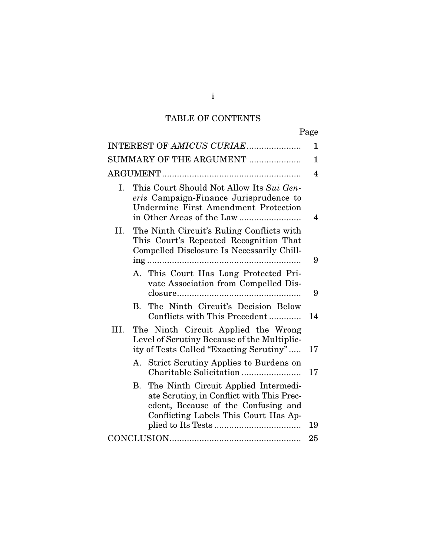# TABLE OF CONTENTS

| ۰, |
|----|
|----|

|      | INTEREST OF AMICUS CURIAE                                                                                                                                               | 1              |
|------|-------------------------------------------------------------------------------------------------------------------------------------------------------------------------|----------------|
|      | SUMMARY OF THE ARGUMENT                                                                                                                                                 | $\mathbf 1$    |
|      |                                                                                                                                                                         | $\overline{4}$ |
| I.   | This Court Should Not Allow Its Sui Gen-<br>eris Campaign-Finance Jurisprudence to<br><b>Undermine First Amendment Protection</b>                                       | 4              |
| II.  | The Ninth Circuit's Ruling Conflicts with<br>This Court's Repeated Recognition That<br>Compelled Disclosure Is Necessarily Chill-                                       | 9              |
|      | A. This Court Has Long Protected Pri-<br>vate Association from Compelled Dis-                                                                                           | 9              |
|      | The Ninth Circuit's Decision Below<br>В.<br>Conflicts with This Precedent                                                                                               | 14             |
| III. | The Ninth Circuit Applied the Wrong<br>Level of Scrutiny Because of the Multiplic-<br>ity of Tests Called "Exacting Scrutiny"                                           | 17             |
|      | <b>Strict Scrutiny Applies to Burdens on</b><br>А.                                                                                                                      | 17             |
|      | The Ninth Circuit Applied Intermedi-<br>В.<br>ate Scrutiny, in Conflict with This Prec-<br>edent, Because of the Confusing and<br>Conflicting Labels This Court Has Ap- | 19             |
|      |                                                                                                                                                                         | 25             |

i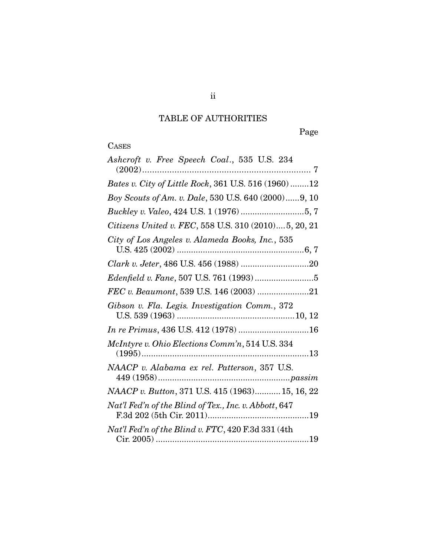# TABLE OF AUTHORITIES

Page

# **CASES**

| Ashcroft v. Free Speech Coal., 535 U.S. 234           |
|-------------------------------------------------------|
| Bates v. City of Little Rock, 361 U.S. 516 (1960)12   |
| Boy Scouts of Am. v. Dale, 530 U.S. 640 (2000)9, 10   |
| Buckley v. Valeo, 424 U.S. 1 (1976) 5, 7              |
| Citizens United v. FEC, 558 U.S. 310 (2010) 5, 20, 21 |
| City of Los Angeles v. Alameda Books, Inc., 535       |
|                                                       |
|                                                       |
| FEC v. Beaumont, 539 U.S. 146 (2003) 21               |
| Gibson v. Fla. Legis. Investigation Comm., 372        |
|                                                       |
| McIntyre v. Ohio Elections Comm'n, 514 U.S. 334       |
| NAACP v. Alabama ex rel. Patterson, 357 U.S.          |
| NAACP v. Button, 371 U.S. 415 (1963) 15, 16, 22       |
| Nat'l Fed'n of the Blind of Tex., Inc. v. Abbott, 647 |
| $Nat'l$ Fed'n of the Blind v. FTC, 420 F.3d 331 (4th  |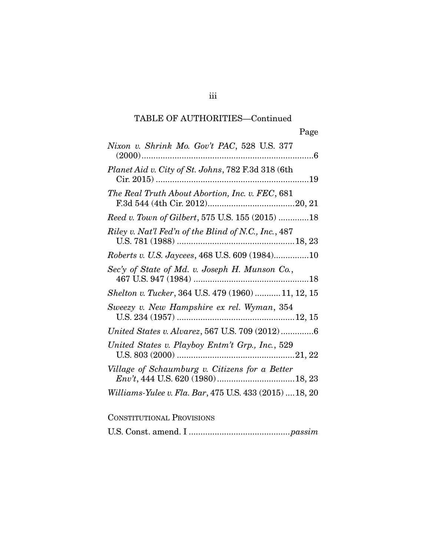| Nixon v. Shrink Mo. Gov't PAC, 528 U.S. 377             |
|---------------------------------------------------------|
| Planet Aid v. City of St. Johns, 782 F.3d 318 (6th      |
| The Real Truth About Abortion, Inc. v. FEC, 681         |
| Reed v. Town of Gilbert, 575 U.S. 155 (2015) 18         |
| Riley v. Nat'l Fed'n of the Blind of N.C., Inc., 487    |
| Roberts v. U.S. Jaycees, 468 U.S. 609 (1984)10          |
| Sec'y of State of Md. v. Joseph H. Munson Co.,          |
| Shelton v. Tucker, 364 U.S. 479 (1960)  11, 12, 15      |
| Sweezy v. New Hampshire ex rel. Wyman, 354              |
| United States v. Alvarez, 567 U.S. 709 (2012)6          |
| United States v. Playboy Entm't Grp., Inc., 529         |
| Village of Schaumburg v. Citizens for a Better          |
| Williams-Yulee v. Fla. Bar, 475 U.S. 433 (2015)  18, 20 |

## CONSTITUTIONAL PROVISIONS

|--|--|--|--|--|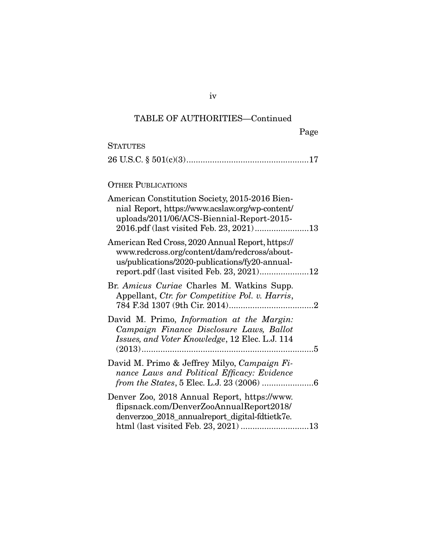| Page |
|------|
|------|

| <b>STATUTES</b>                                                                                                                                    |  |
|----------------------------------------------------------------------------------------------------------------------------------------------------|--|
|                                                                                                                                                    |  |
|                                                                                                                                                    |  |
| <b>OTHER PUBLICATIONS</b>                                                                                                                          |  |
| American Constitution Society, 2015-2016 Bien-<br>nial Report, https://www.acslaw.org/wp-content/<br>uploads/2011/06/ACS-Biennial-Report-2015-     |  |
| American Red Cross, 2020 Annual Report, https://<br>www.redcross.org/content/dam/redcross/about-<br>us/publications/2020-publications/fy20-annual- |  |
| Br. Amicus Curiae Charles M. Watkins Supp.<br>Appellant, Ctr. for Competitive Pol. v. Harris,                                                      |  |
| David M. Primo, <i>Information at the Margin</i> :<br>Campaign Finance Disclosure Laws, Ballot<br>Issues, and Voter Knowledge, 12 Elec. L.J. 114   |  |
| David M. Primo & Jeffrey Milyo, Campaign Fi-<br>nance Laws and Political Efficacy: Evidence                                                        |  |
| Denver Zoo, 2018 Annual Report, https://www.<br>flipsnack.com/DenverZooAnnualReport2018/<br>denverzoo_2018_annualreport_digital-fdtietk7e.         |  |

iv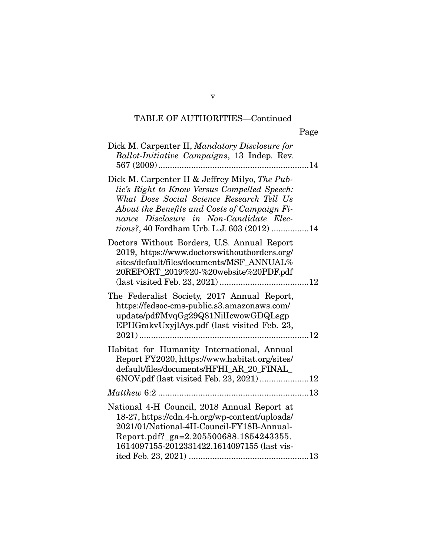| Dick M. Carpenter II, Mandatory Disclosure for<br>Ballot-Initiative Campaigns, 13 Indep. Rev.                                                                                                                                                                                        |
|--------------------------------------------------------------------------------------------------------------------------------------------------------------------------------------------------------------------------------------------------------------------------------------|
| Dick M. Carpenter II & Jeffrey Milyo, The Pub-<br>lic's Right to Know Versus Compelled Speech:<br>What Does Social Science Research Tell Us<br>About the Benefits and Costs of Campaign Fi-<br>nance Disclosure in Non-Candidate Elec-<br>tions?, 40 Fordham Urb. L.J. 603 (2012) 14 |
| Doctors Without Borders, U.S. Annual Report<br>2019, https://www.doctorswithoutborders.org/<br>sites/default/files/documents/MSF ANNUAL%<br>20REPORT_2019%20-%20website%20PDF.pdf                                                                                                    |
| The Federalist Society, 2017 Annual Report,<br>https://fedsoc-cms-public.s3.amazonaws.com/<br>update/pdf/MvqGg29Q81NilIcwowGDQLsgp<br>EPHGmkvUxyjlAys.pdf (last visited Feb. 23,                                                                                                     |
| Habitat for Humanity International, Annual<br>Report FY2020, https://www.habitat.org/sites/<br>default/files/documents/HFHI_AR_20_FINAL_<br>6NOV.pdf (last visited Feb. 23, 2021)12                                                                                                  |
|                                                                                                                                                                                                                                                                                      |
| National 4-H Council, 2018 Annual Report at<br>18-27, https://cdn.4-h.org/wp-content/uploads/<br>2021/01/National-4H-Council-FY18B-Annual-<br>Report.pdf?_ga=2.205500688.1854243355.<br>1614097155-2012331422.1614097155 (last vis-                                                  |

v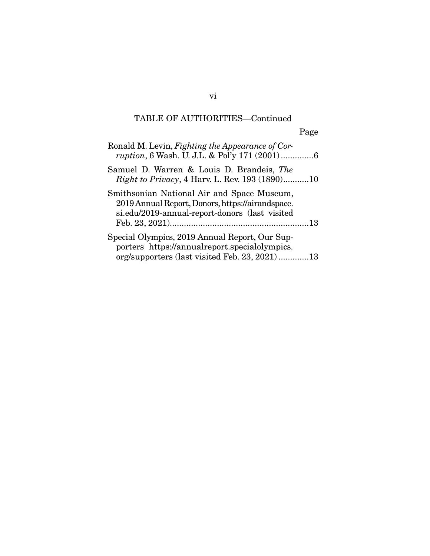| Ronald M. Levin, Fighting the Appearance of Cor-<br>ruption, 6 Wash. U. J.L. & Pol'y 171 (2001)6                                                 |
|--------------------------------------------------------------------------------------------------------------------------------------------------|
| Samuel D. Warren & Louis D. Brandeis, The<br><i>Right to Privacy</i> , 4 Harv. L. Rev. 193 (1890)10                                              |
| Smithsonian National Air and Space Museum,<br>2019 Annual Report, Donors, https://airandspace.<br>si.edu/2019-annual-report-donors (last visited |
| Special Olympics, 2019 Annual Report, Our Sup-<br>porters https://annualreport.specialolympics.<br>org/supporters (last visited Feb. 23, 2021)13 |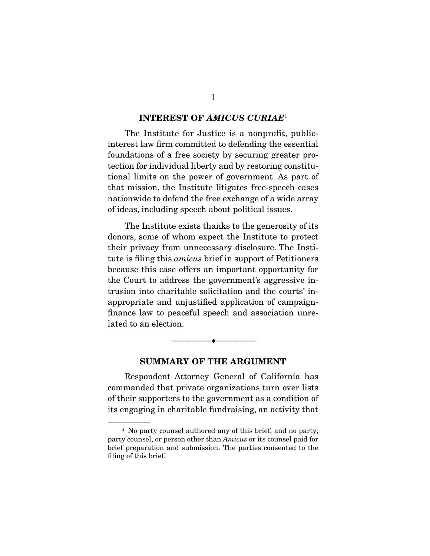#### **INTEREST OF** *AMICUS CURIAE*<sup>1</sup>

The Institute for Justice is a nonprofit, publicinterest law firm committed to defending the essential foundations of a free society by securing greater protection for individual liberty and by restoring constitutional limits on the power of government. As part of that mission, the Institute litigates free-speech cases nationwide to defend the free exchange of a wide array of ideas, including speech about political issues.

 The Institute exists thanks to the generosity of its donors, some of whom expect the Institute to protect their privacy from unnecessary disclosure. The Institute is filing this amicus brief in support of Petitioners because this case offers an important opportunity for the Court to address the government's aggressive intrusion into charitable solicitation and the courts' inappropriate and unjustified application of campaignfinance law to peaceful speech and association unrelated to an election.

#### **SUMMARY OF THE ARGUMENT**

--------------------------------- ♦ ---------------------------------

Respondent Attorney General of California has commanded that private organizations turn over lists of their supporters to the government as a condition of its engaging in charitable fundraising, an activity that

<sup>&</sup>lt;sup>1</sup> No party counsel authored any of this brief, and no party, party counsel, or person other than Amicus or its counsel paid for brief preparation and submission. The parties consented to the filing of this brief.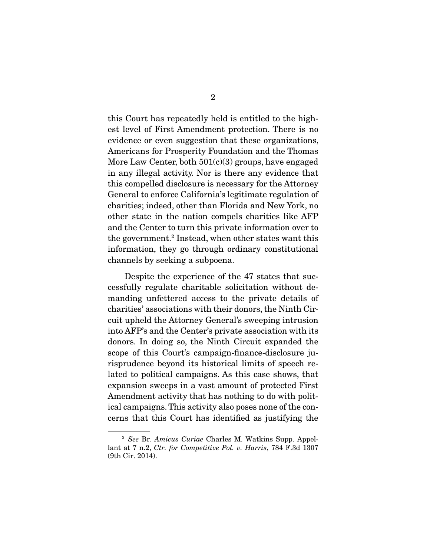this Court has repeatedly held is entitled to the highest level of First Amendment protection. There is no evidence or even suggestion that these organizations, Americans for Prosperity Foundation and the Thomas More Law Center, both 501(c)(3) groups, have engaged in any illegal activity. Nor is there any evidence that this compelled disclosure is necessary for the Attorney General to enforce California's legitimate regulation of charities; indeed, other than Florida and New York, no other state in the nation compels charities like AFP and the Center to turn this private information over to the government.<sup>2</sup> Instead, when other states want this information, they go through ordinary constitutional channels by seeking a subpoena.

 Despite the experience of the 47 states that successfully regulate charitable solicitation without demanding unfettered access to the private details of charities' associations with their donors, the Ninth Circuit upheld the Attorney General's sweeping intrusion into AFP's and the Center's private association with its donors. In doing so, the Ninth Circuit expanded the scope of this Court's campaign-finance-disclosure jurisprudence beyond its historical limits of speech related to political campaigns. As this case shows, that expansion sweeps in a vast amount of protected First Amendment activity that has nothing to do with political campaigns. This activity also poses none of the concerns that this Court has identified as justifying the

<sup>2</sup> See Br. Amicus Curiae Charles M. Watkins Supp. Appellant at 7 n.2, Ctr. for Competitive Pol. v. Harris, 784 F.3d 1307 (9th Cir. 2014).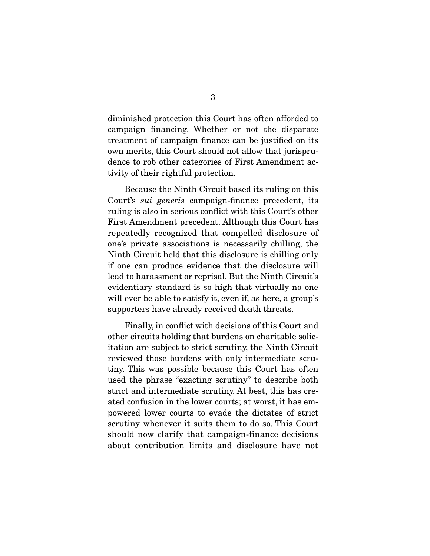diminished protection this Court has often afforded to campaign financing. Whether or not the disparate treatment of campaign finance can be justified on its own merits, this Court should not allow that jurisprudence to rob other categories of First Amendment activity of their rightful protection.

 Because the Ninth Circuit based its ruling on this Court's sui generis campaign-finance precedent, its ruling is also in serious conflict with this Court's other First Amendment precedent. Although this Court has repeatedly recognized that compelled disclosure of one's private associations is necessarily chilling, the Ninth Circuit held that this disclosure is chilling only if one can produce evidence that the disclosure will lead to harassment or reprisal. But the Ninth Circuit's evidentiary standard is so high that virtually no one will ever be able to satisfy it, even if, as here, a group's supporters have already received death threats.

 Finally, in conflict with decisions of this Court and other circuits holding that burdens on charitable solicitation are subject to strict scrutiny, the Ninth Circuit reviewed those burdens with only intermediate scrutiny. This was possible because this Court has often used the phrase "exacting scrutiny" to describe both strict and intermediate scrutiny. At best, this has created confusion in the lower courts; at worst, it has empowered lower courts to evade the dictates of strict scrutiny whenever it suits them to do so. This Court should now clarify that campaign-finance decisions about contribution limits and disclosure have not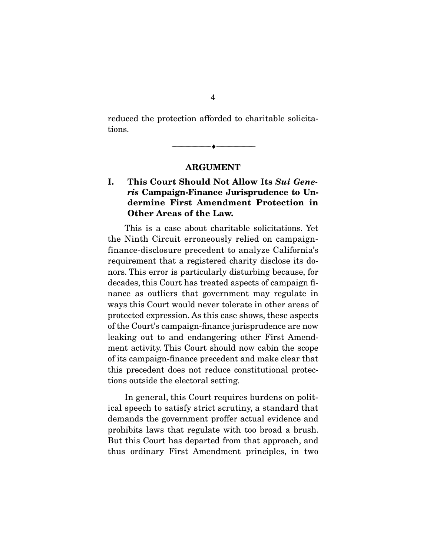reduced the protection afforded to charitable solicitations.

**ARGUMENT** 

--------------------------------- ♦ ---------------------------------

### **I. This Court Should Not Allow Its** *Sui Generis* **Campaign-Finance Jurisprudence to Undermine First Amendment Protection in Other Areas of the Law.**

This is a case about charitable solicitations. Yet the Ninth Circuit erroneously relied on campaignfinance-disclosure precedent to analyze California's requirement that a registered charity disclose its donors. This error is particularly disturbing because, for decades, this Court has treated aspects of campaign finance as outliers that government may regulate in ways this Court would never tolerate in other areas of protected expression. As this case shows, these aspects of the Court's campaign-finance jurisprudence are now leaking out to and endangering other First Amendment activity. This Court should now cabin the scope of its campaign-finance precedent and make clear that this precedent does not reduce constitutional protections outside the electoral setting.

 In general, this Court requires burdens on political speech to satisfy strict scrutiny, a standard that demands the government proffer actual evidence and prohibits laws that regulate with too broad a brush. But this Court has departed from that approach, and thus ordinary First Amendment principles, in two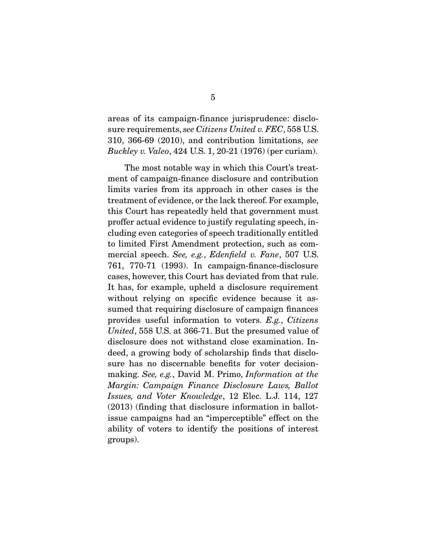areas of its campaign-finance jurisprudence: disclosure requirements, see Citizens United v. FEC, 558 U.S. 310, 366-69 (2010), and contribution limitations, see Buckley v. Valeo, 424 U.S. 1, 20-21 (1976) (per curiam).

 The most notable way in which this Court's treatment of campaign-finance disclosure and contribution limits varies from its approach in other cases is the treatment of evidence, or the lack thereof. For example, this Court has repeatedly held that government must proffer actual evidence to justify regulating speech, including even categories of speech traditionally entitled to limited First Amendment protection, such as commercial speech. See, e.g., Edenfield v. Fane, 507 U.S. 761, 770-71 (1993). In campaign-finance-disclosure cases, however, this Court has deviated from that rule. It has, for example, upheld a disclosure requirement without relying on specific evidence because it assumed that requiring disclosure of campaign finances provides useful information to voters. E.g., Citizens United, 558 U.S. at 366-71. But the presumed value of disclosure does not withstand close examination. Indeed, a growing body of scholarship finds that disclosure has no discernable benefits for voter decisionmaking. See, e.g., David M. Primo, Information at the Margin: Campaign Finance Disclosure Laws, Ballot Issues, and Voter Knowledge, 12 Elec. L.J. 114, 127 (2013) (finding that disclosure information in ballotissue campaigns had an "imperceptible" effect on the ability of voters to identify the positions of interest groups).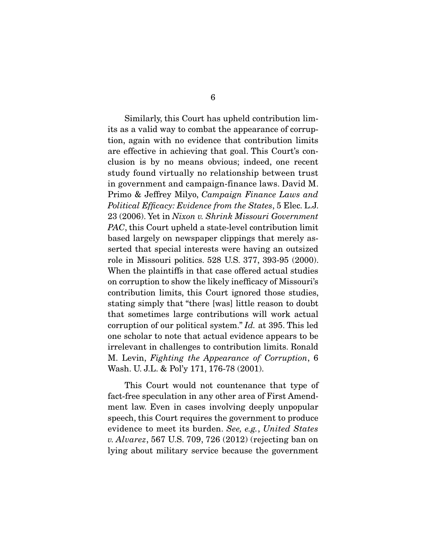Similarly, this Court has upheld contribution limits as a valid way to combat the appearance of corruption, again with no evidence that contribution limits are effective in achieving that goal. This Court's conclusion is by no means obvious; indeed, one recent study found virtually no relationship between trust in government and campaign-finance laws. David M. Primo & Jeffrey Milyo, Campaign Finance Laws and Political Efficacy: Evidence from the States, 5 Elec. L.J. 23 (2006). Yet in Nixon v. Shrink Missouri Government PAC, this Court upheld a state-level contribution limit based largely on newspaper clippings that merely asserted that special interests were having an outsized role in Missouri politics. 528 U.S. 377, 393-95 (2000). When the plaintiffs in that case offered actual studies on corruption to show the likely inefficacy of Missouri's contribution limits, this Court ignored those studies, stating simply that "there [was] little reason to doubt that sometimes large contributions will work actual corruption of our political system." Id. at 395. This led one scholar to note that actual evidence appears to be irrelevant in challenges to contribution limits. Ronald M. Levin, Fighting the Appearance of Corruption, 6 Wash. U. J.L. & Pol'y 171, 176-78 (2001).

This Court would not countenance that type of fact-free speculation in any other area of First Amendment law. Even in cases involving deeply unpopular speech, this Court requires the government to produce evidence to meet its burden. See, e.g., United States v. Alvarez, 567 U.S. 709, 726 (2012) (rejecting ban on lying about military service because the government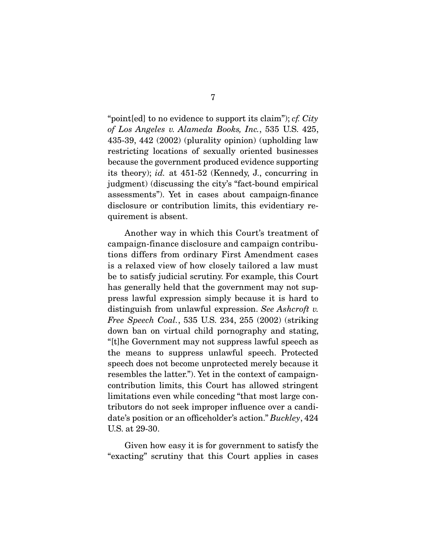"point [ed] to no evidence to support its claim");  $cf. City$ of Los Angeles v. Alameda Books, Inc., 535 U.S. 425, 435-39, 442 (2002) (plurality opinion) (upholding law restricting locations of sexually oriented businesses because the government produced evidence supporting its theory); id. at 451-52 (Kennedy, J., concurring in judgment) (discussing the city's "fact-bound empirical assessments"). Yet in cases about campaign-finance disclosure or contribution limits, this evidentiary requirement is absent.

 Another way in which this Court's treatment of campaign-finance disclosure and campaign contributions differs from ordinary First Amendment cases is a relaxed view of how closely tailored a law must be to satisfy judicial scrutiny. For example, this Court has generally held that the government may not suppress lawful expression simply because it is hard to distinguish from unlawful expression. See Ashcroft v. Free Speech Coal., 535 U.S. 234, 255 (2002) (striking down ban on virtual child pornography and stating, "[t]he Government may not suppress lawful speech as the means to suppress unlawful speech. Protected speech does not become unprotected merely because it resembles the latter."). Yet in the context of campaigncontribution limits, this Court has allowed stringent limitations even while conceding "that most large contributors do not seek improper influence over a candidate's position or an officeholder's action." Buckley, 424 U.S. at 29-30.

 Given how easy it is for government to satisfy the "exacting" scrutiny that this Court applies in cases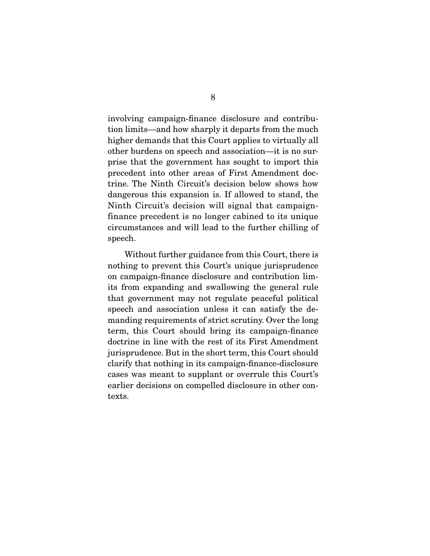involving campaign-finance disclosure and contribution limits—and how sharply it departs from the much higher demands that this Court applies to virtually all other burdens on speech and association—it is no surprise that the government has sought to import this precedent into other areas of First Amendment doctrine. The Ninth Circuit's decision below shows how dangerous this expansion is. If allowed to stand, the Ninth Circuit's decision will signal that campaignfinance precedent is no longer cabined to its unique circumstances and will lead to the further chilling of speech.

 Without further guidance from this Court, there is nothing to prevent this Court's unique jurisprudence on campaign-finance disclosure and contribution limits from expanding and swallowing the general rule that government may not regulate peaceful political speech and association unless it can satisfy the demanding requirements of strict scrutiny. Over the long term, this Court should bring its campaign-finance doctrine in line with the rest of its First Amendment jurisprudence. But in the short term, this Court should clarify that nothing in its campaign-finance-disclosure cases was meant to supplant or overrule this Court's earlier decisions on compelled disclosure in other contexts.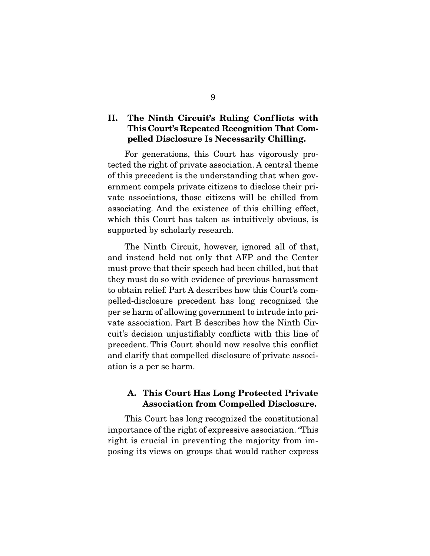### **II. The Ninth Circuit's Ruling Conf licts with This Court's Repeated Recognition That Compelled Disclosure Is Necessarily Chilling.**

For generations, this Court has vigorously protected the right of private association. A central theme of this precedent is the understanding that when government compels private citizens to disclose their private associations, those citizens will be chilled from associating. And the existence of this chilling effect, which this Court has taken as intuitively obvious, is supported by scholarly research.

 The Ninth Circuit, however, ignored all of that, and instead held not only that AFP and the Center must prove that their speech had been chilled, but that they must do so with evidence of previous harassment to obtain relief. Part A describes how this Court's compelled-disclosure precedent has long recognized the per se harm of allowing government to intrude into private association. Part B describes how the Ninth Circuit's decision unjustifiably conflicts with this line of precedent. This Court should now resolve this conflict and clarify that compelled disclosure of private association is a per se harm.

#### **A. This Court Has Long Protected Private Association from Compelled Disclosure.**

This Court has long recognized the constitutional importance of the right of expressive association. "This right is crucial in preventing the majority from imposing its views on groups that would rather express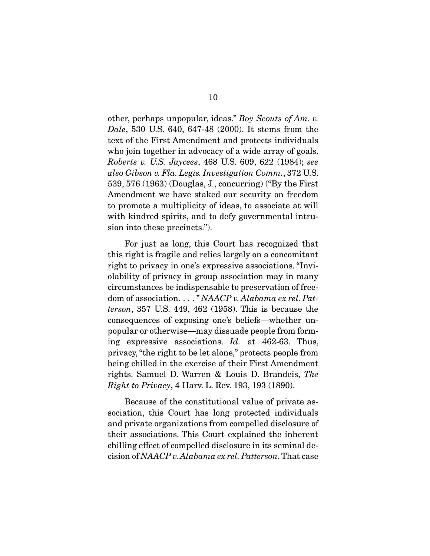other, perhaps unpopular, ideas." Boy Scouts of Am. v. Dale, 530 U.S. 640, 647-48 (2000). It stems from the text of the First Amendment and protects individuals who join together in advocacy of a wide array of goals. Roberts v. U.S. Jaycees, 468 U.S. 609, 622 (1984); see also Gibson v. Fla. Legis. Investigation Comm., 372 U.S. 539, 576 (1963) (Douglas, J., concurring) ("By the First Amendment we have staked our security on freedom to promote a multiplicity of ideas, to associate at will with kindred spirits, and to defy governmental intrusion into these precincts.").

 For just as long, this Court has recognized that this right is fragile and relies largely on a concomitant right to privacy in one's expressive associations. "Inviolability of privacy in group association may in many circumstances be indispensable to preservation of freedom of association. . . . " NAACP v. Alabama ex rel. Patterson, 357 U.S. 449, 462 (1958). This is because the consequences of exposing one's beliefs—whether unpopular or otherwise—may dissuade people from forming expressive associations. Id. at 462-63. Thus, privacy, "the right to be let alone," protects people from being chilled in the exercise of their First Amendment rights. Samuel D. Warren & Louis D. Brandeis, The Right to Privacy, 4 Harv. L. Rev. 193, 193 (1890).

 Because of the constitutional value of private association, this Court has long protected individuals and private organizations from compelled disclosure of their associations. This Court explained the inherent chilling effect of compelled disclosure in its seminal decision of NAACP v. Alabama ex rel. Patterson. That case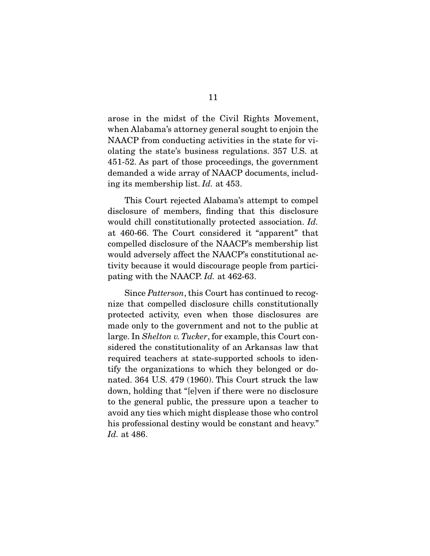arose in the midst of the Civil Rights Movement, when Alabama's attorney general sought to enjoin the NAACP from conducting activities in the state for violating the state's business regulations. 357 U.S. at 451-52. As part of those proceedings, the government demanded a wide array of NAACP documents, including its membership list. Id. at 453.

 This Court rejected Alabama's attempt to compel disclosure of members, finding that this disclosure would chill constitutionally protected association. Id. at 460-66. The Court considered it "apparent" that compelled disclosure of the NAACP's membership list would adversely affect the NAACP's constitutional activity because it would discourage people from participating with the NAACP. Id. at 462-63.

 Since Patterson, this Court has continued to recognize that compelled disclosure chills constitutionally protected activity, even when those disclosures are made only to the government and not to the public at large. In Shelton v. Tucker, for example, this Court considered the constitutionality of an Arkansas law that required teachers at state-supported schools to identify the organizations to which they belonged or donated. 364 U.S. 479 (1960). This Court struck the law down, holding that "[e]ven if there were no disclosure to the general public, the pressure upon a teacher to avoid any ties which might displease those who control his professional destiny would be constant and heavy." Id. at 486.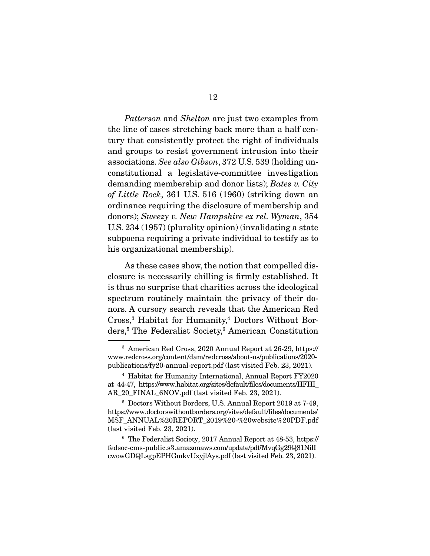Patterson and Shelton are just two examples from the line of cases stretching back more than a half century that consistently protect the right of individuals and groups to resist government intrusion into their associations. See also Gibson, 372 U.S. 539 (holding unconstitutional a legislative-committee investigation demanding membership and donor lists); Bates v. City of Little Rock, 361 U.S. 516 (1960) (striking down an ordinance requiring the disclosure of membership and donors); Sweezy v. New Hampshire ex rel. Wyman, 354 U.S. 234 (1957) (plurality opinion) (invalidating a state subpoena requiring a private individual to testify as to his organizational membership).

 As these cases show, the notion that compelled disclosure is necessarily chilling is firmly established. It is thus no surprise that charities across the ideological spectrum routinely maintain the privacy of their donors. A cursory search reveals that the American Red Cross,<sup>3</sup> Habitat for Humanity,<sup>4</sup> Doctors Without Borders,5 The Federalist Society,6 American Constitution

<sup>3</sup> American Red Cross, 2020 Annual Report at 26-29, https:// www.redcross.org/content/dam/redcross/about-us/publications/2020 publications/fy20-annual-report.pdf (last visited Feb. 23, 2021).

<sup>4</sup> Habitat for Humanity International, Annual Report FY2020 at 44-47, https://www.habitat.org/sites/default/files/documents/HFHI\_ AR\_20\_FINAL\_6NOV.pdf (last visited Feb. 23, 2021).

<sup>5</sup> Doctors Without Borders, U.S. Annual Report 2019 at 7-49, https://www.doctorswithoutborders.org/sites/default/files/documents/ MSF\_ANNUAL%20REPORT\_2019%20-%20website%20PDF.pdf (last visited Feb. 23, 2021).

<sup>6</sup> The Federalist Society, 2017 Annual Report at 48-53, https:// fedsoc-cms-public.s3.amazonaws.com/update/pdf/MvqGg29Q81NilI cwowGDQLsgpEPHGmkvUxyjlAys.pdf (last visited Feb. 23, 2021).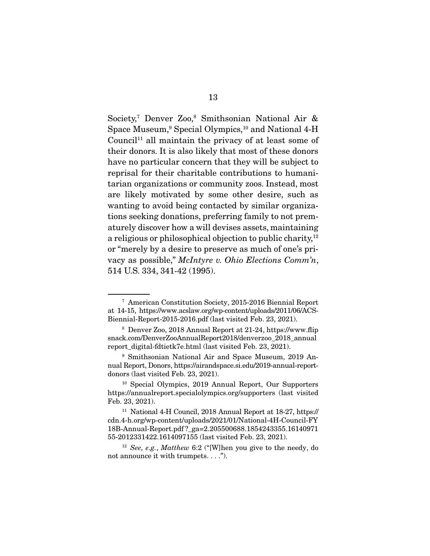Society,<sup>7</sup> Denver Zoo,<sup>8</sup> Smithsonian National Air & Space Museum,9 Special Olympics,10 and National 4-H Council<sup>11</sup> all maintain the privacy of at least some of their donors. It is also likely that most of these donors have no particular concern that they will be subject to reprisal for their charitable contributions to humanitarian organizations or community zoos. Instead, most are likely motivated by some other desire, such as wanting to avoid being contacted by similar organizations seeking donations, preferring family to not prematurely discover how a will devises assets, maintaining a religious or philosophical objection to public charity, $12$ or "merely by a desire to preserve as much of one's privacy as possible," McIntyre v. Ohio Elections Comm'n, 514 U.S. 334, 341-42 (1995).

<sup>7</sup> American Constitution Society, 2015-2016 Biennial Report at 14-15, https://www.acslaw.org/wp-content/uploads/2011/06/ACS-Biennial-Report-2015-2016.pdf (last visited Feb. 23, 2021).

<sup>8</sup> Denver Zoo, 2018 Annual Report at 21-24, https://www.flip snack.com/DenverZooAnnualReport2018/denverzoo\_2018\_annual report\_digital-fdtietk7e.html (last visited Feb. 23, 2021).

<sup>9</sup> Smithsonian National Air and Space Museum, 2019 Annual Report, Donors, https://airandspace.si.edu/2019-annual-reportdonors (last visited Feb. 23, 2021).

<sup>10</sup> Special Olympics, 2019 Annual Report, Our Supporters https://annualreport.specialolympics.org/supporters (last visited Feb. 23, 2021).

<sup>11</sup> National 4-H Council, 2018 Annual Report at 18-27, https:// cdn.4-h.org/wp-content/uploads/2021/01/National-4H-Council-FY 18B-Annual-Report.pdf ?\_ga=2.205500688.1854243355.16140971 55-2012331422.1614097155 (last visited Feb. 23, 2021).

 $12$  See, e.g., Matthew 6:2 ("[W]hen you give to the needy, do not announce it with trumpets. . . .").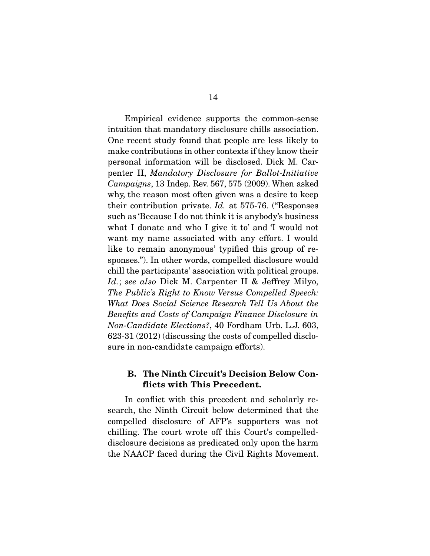Empirical evidence supports the common-sense intuition that mandatory disclosure chills association. One recent study found that people are less likely to make contributions in other contexts if they know their personal information will be disclosed. Dick M. Carpenter II, Mandatory Disclosure for Ballot-Initiative Campaigns, 13 Indep. Rev. 567, 575 (2009). When asked why, the reason most often given was a desire to keep their contribution private. Id. at 575-76. ("Responses such as 'Because I do not think it is anybody's business what I donate and who I give it to' and 'I would not want my name associated with any effort. I would like to remain anonymous' typified this group of responses."). In other words, compelled disclosure would chill the participants' association with political groups. Id.; see also Dick M. Carpenter II & Jeffrey Milyo, The Public's Right to Know Versus Compelled Speech: What Does Social Science Research Tell Us About the Benefits and Costs of Campaign Finance Disclosure in Non-Candidate Elections?, 40 Fordham Urb. L.J. 603, 623-31 (2012) (discussing the costs of compelled disclosure in non-candidate campaign efforts).

#### **B. The Ninth Circuit's Decision Below Conflicts with This Precedent.**

In conflict with this precedent and scholarly research, the Ninth Circuit below determined that the compelled disclosure of AFP's supporters was not chilling. The court wrote off this Court's compelleddisclosure decisions as predicated only upon the harm the NAACP faced during the Civil Rights Movement.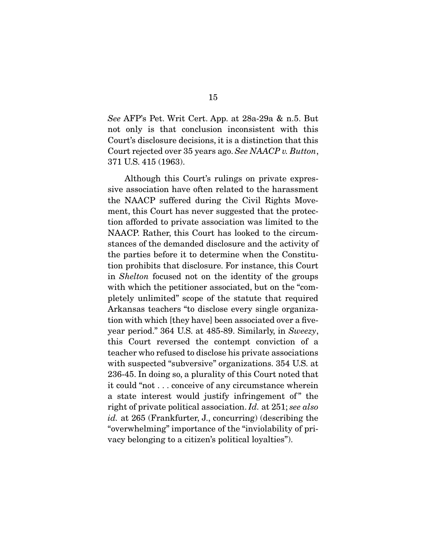See AFP's Pet. Writ Cert. App. at 28a-29a & n.5. But not only is that conclusion inconsistent with this Court's disclosure decisions, it is a distinction that this Court rejected over 35 years ago. See NAACP v. Button, 371 U.S. 415 (1963).

 Although this Court's rulings on private expressive association have often related to the harassment the NAACP suffered during the Civil Rights Movement, this Court has never suggested that the protection afforded to private association was limited to the NAACP. Rather, this Court has looked to the circumstances of the demanded disclosure and the activity of the parties before it to determine when the Constitution prohibits that disclosure. For instance, this Court in Shelton focused not on the identity of the groups with which the petitioner associated, but on the "completely unlimited" scope of the statute that required Arkansas teachers "to disclose every single organization with which [they have] been associated over a fiveyear period." 364 U.S. at 485-89. Similarly, in Sweezy, this Court reversed the contempt conviction of a teacher who refused to disclose his private associations with suspected "subversive" organizations. 354 U.S. at 236-45. In doing so, a plurality of this Court noted that it could "not . . . conceive of any circumstance wherein a state interest would justify infringement of " the right of private political association. Id. at 251; see also id. at 265 (Frankfurter, J., concurring) (describing the "overwhelming" importance of the "inviolability of privacy belonging to a citizen's political loyalties").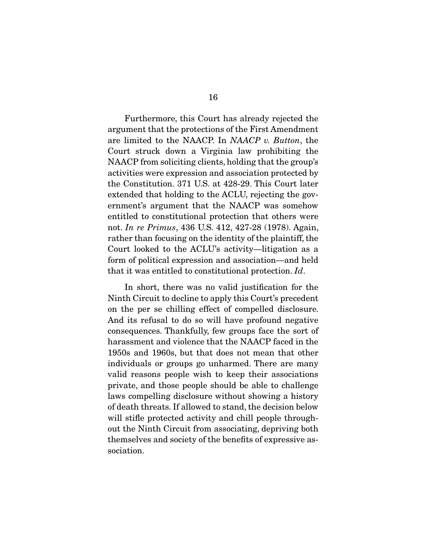Furthermore, this Court has already rejected the argument that the protections of the First Amendment are limited to the NAACP. In NAACP v. Button, the Court struck down a Virginia law prohibiting the NAACP from soliciting clients, holding that the group's activities were expression and association protected by the Constitution. 371 U.S. at 428-29. This Court later extended that holding to the ACLU, rejecting the government's argument that the NAACP was somehow entitled to constitutional protection that others were not. In re Primus, 436 U.S. 412, 427-28 (1978). Again, rather than focusing on the identity of the plaintiff, the Court looked to the ACLU's activity—litigation as a form of political expression and association—and held that it was entitled to constitutional protection. Id.

 In short, there was no valid justification for the Ninth Circuit to decline to apply this Court's precedent on the per se chilling effect of compelled disclosure. And its refusal to do so will have profound negative consequences. Thankfully, few groups face the sort of harassment and violence that the NAACP faced in the 1950s and 1960s, but that does not mean that other individuals or groups go unharmed. There are many valid reasons people wish to keep their associations private, and those people should be able to challenge laws compelling disclosure without showing a history of death threats. If allowed to stand, the decision below will stifle protected activity and chill people throughout the Ninth Circuit from associating, depriving both themselves and society of the benefits of expressive association.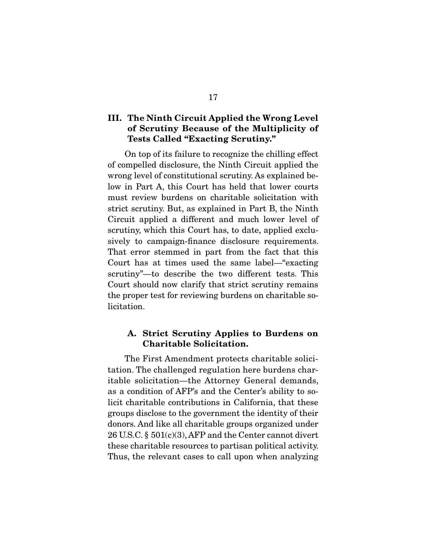### **III. The Ninth Circuit Applied the Wrong Level of Scrutiny Because of the Multiplicity of Tests Called "Exacting Scrutiny."**

On top of its failure to recognize the chilling effect of compelled disclosure, the Ninth Circuit applied the wrong level of constitutional scrutiny. As explained below in Part A, this Court has held that lower courts must review burdens on charitable solicitation with strict scrutiny. But, as explained in Part B, the Ninth Circuit applied a different and much lower level of scrutiny, which this Court has, to date, applied exclusively to campaign-finance disclosure requirements. That error stemmed in part from the fact that this Court has at times used the same label—"exacting scrutiny"—to describe the two different tests. This Court should now clarify that strict scrutiny remains the proper test for reviewing burdens on charitable solicitation.

#### **A. Strict Scrutiny Applies to Burdens on Charitable Solicitation.**

The First Amendment protects charitable solicitation. The challenged regulation here burdens charitable solicitation—the Attorney General demands, as a condition of AFP's and the Center's ability to solicit charitable contributions in California, that these groups disclose to the government the identity of their donors. And like all charitable groups organized under 26 U.S.C. § 501(c)(3), AFP and the Center cannot divert these charitable resources to partisan political activity. Thus, the relevant cases to call upon when analyzing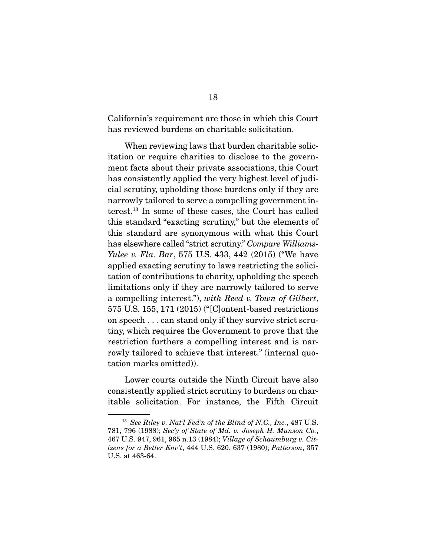California's requirement are those in which this Court has reviewed burdens on charitable solicitation.

 When reviewing laws that burden charitable solicitation or require charities to disclose to the government facts about their private associations, this Court has consistently applied the very highest level of judicial scrutiny, upholding those burdens only if they are narrowly tailored to serve a compelling government interest.13 In some of these cases, the Court has called this standard "exacting scrutiny," but the elements of this standard are synonymous with what this Court has elsewhere called "strict scrutiny." Compare Williams-Yulee v. Fla. Bar, 575 U.S. 433, 442 (2015) ("We have applied exacting scrutiny to laws restricting the solicitation of contributions to charity, upholding the speech limitations only if they are narrowly tailored to serve a compelling interest."), with Reed v. Town of Gilbert, 575 U.S. 155, 171 (2015) ("[C]ontent-based restrictions on speech . . . can stand only if they survive strict scrutiny, which requires the Government to prove that the restriction furthers a compelling interest and is narrowly tailored to achieve that interest." (internal quotation marks omitted)).

 Lower courts outside the Ninth Circuit have also consistently applied strict scrutiny to burdens on charitable solicitation. For instance, the Fifth Circuit

 $13$  See Riley v. Nat'l Fed'n of the Blind of N.C., Inc., 487 U.S. 781, 796 (1988); Sec'y of State of Md. v. Joseph H. Munson Co., 467 U.S. 947, 961, 965 n.13 (1984); Village of Schaumburg v. Citizens for a Better Env't, 444 U.S. 620, 637 (1980); Patterson, 357 U.S. at 463-64.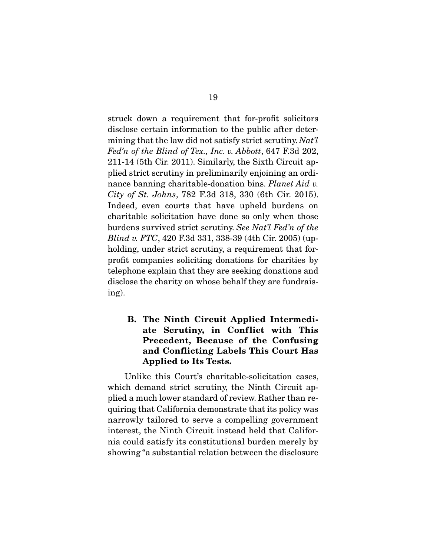struck down a requirement that for-profit solicitors disclose certain information to the public after determining that the law did not satisfy strict scrutiny. Nat'l Fed'n of the Blind of Tex., Inc. v. Abbott, 647 F.3d 202, 211-14 (5th Cir. 2011). Similarly, the Sixth Circuit applied strict scrutiny in preliminarily enjoining an ordinance banning charitable-donation bins. Planet Aid v. City of St. Johns, 782 F.3d 318, 330 (6th Cir. 2015). Indeed, even courts that have upheld burdens on charitable solicitation have done so only when those burdens survived strict scrutiny. See Nat'l Fed'n of the Blind v. FTC, 420 F.3d 331, 338-39 (4th Cir. 2005) (upholding, under strict scrutiny, a requirement that forprofit companies soliciting donations for charities by telephone explain that they are seeking donations and disclose the charity on whose behalf they are fundraising).

### **B. The Ninth Circuit Applied Intermediate Scrutiny, in Conflict with This Precedent, Because of the Confusing and Conflicting Labels This Court Has Applied to Its Tests.**

Unlike this Court's charitable-solicitation cases, which demand strict scrutiny, the Ninth Circuit applied a much lower standard of review. Rather than requiring that California demonstrate that its policy was narrowly tailored to serve a compelling government interest, the Ninth Circuit instead held that California could satisfy its constitutional burden merely by showing "a substantial relation between the disclosure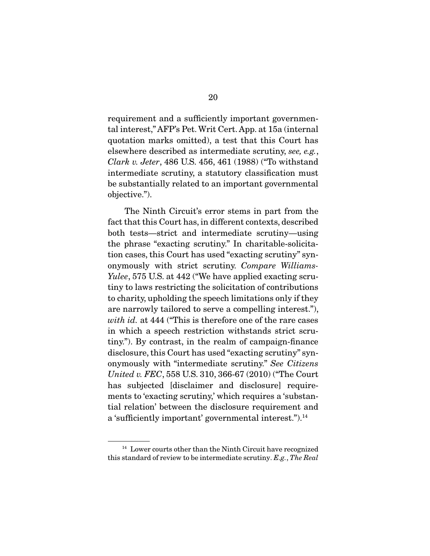requirement and a sufficiently important governmental interest," AFP's Pet. Writ Cert. App. at 15a (internal quotation marks omitted), a test that this Court has elsewhere described as intermediate scrutiny, see, e.g., Clark v. Jeter, 486 U.S. 456, 461 (1988) ("To withstand intermediate scrutiny, a statutory classification must be substantially related to an important governmental objective.").

 The Ninth Circuit's error stems in part from the fact that this Court has, in different contexts, described both tests—strict and intermediate scrutiny—using the phrase "exacting scrutiny." In charitable-solicitation cases, this Court has used "exacting scrutiny" synonymously with strict scrutiny. Compare Williams-Yulee, 575 U.S. at 442 ("We have applied exacting scrutiny to laws restricting the solicitation of contributions to charity, upholding the speech limitations only if they are narrowly tailored to serve a compelling interest."), with id. at 444 ("This is therefore one of the rare cases") in which a speech restriction withstands strict scrutiny."). By contrast, in the realm of campaign-finance disclosure, this Court has used "exacting scrutiny" synonymously with "intermediate scrutiny." See Citizens United v. FEC, 558 U.S. 310, 366-67 (2010) ("The Court has subjected [disclaimer and disclosure] requirements to 'exacting scrutiny,' which requires a 'substantial relation' between the disclosure requirement and a 'sufficiently important' governmental interest.").14

<sup>&</sup>lt;sup>14</sup> Lower courts other than the Ninth Circuit have recognized this standard of review to be intermediate scrutiny. E.g., The Real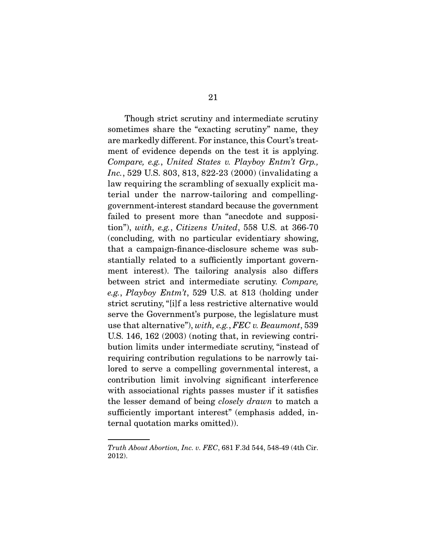Though strict scrutiny and intermediate scrutiny sometimes share the "exacting scrutiny" name, they are markedly different. For instance, this Court's treatment of evidence depends on the test it is applying. Compare, e.g., United States v. Playboy Entm't Grp., Inc., 529 U.S. 803, 813, 822-23 (2000) (invalidating a law requiring the scrambling of sexually explicit material under the narrow-tailoring and compellinggovernment-interest standard because the government failed to present more than "anecdote and supposition"), with, e.g., Citizens United, 558 U.S. at 366-70 (concluding, with no particular evidentiary showing, that a campaign-finance-disclosure scheme was substantially related to a sufficiently important government interest). The tailoring analysis also differs between strict and intermediate scrutiny. Compare, e.g., Playboy Entm't, 529 U.S. at 813 (holding under strict scrutiny, "[i]f a less restrictive alternative would serve the Government's purpose, the legislature must use that alternative"), with, e.g., FEC v. Beaumont, 539 U.S. 146, 162 (2003) (noting that, in reviewing contribution limits under intermediate scrutiny, "instead of requiring contribution regulations to be narrowly tailored to serve a compelling governmental interest, a contribution limit involving significant interference with associational rights passes muster if it satisfies the lesser demand of being closely drawn to match a sufficiently important interest" (emphasis added, internal quotation marks omitted)).

Truth About Abortion, Inc. v. FEC, 681 F.3d 544, 548-49 (4th Cir. 2012).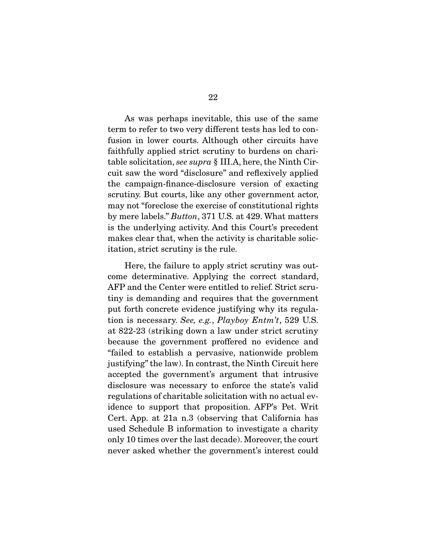As was perhaps inevitable, this use of the same term to refer to two very different tests has led to confusion in lower courts. Although other circuits have faithfully applied strict scrutiny to burdens on charitable solicitation, see supra § III.A, here, the Ninth Circuit saw the word "disclosure" and reflexively applied the campaign-finance-disclosure version of exacting scrutiny. But courts, like any other government actor, may not "foreclose the exercise of constitutional rights by mere labels." Button, 371 U.S. at 429. What matters is the underlying activity. And this Court's precedent makes clear that, when the activity is charitable solicitation, strict scrutiny is the rule.

 Here, the failure to apply strict scrutiny was outcome determinative. Applying the correct standard, AFP and the Center were entitled to relief. Strict scrutiny is demanding and requires that the government put forth concrete evidence justifying why its regulation is necessary. See, e.g., Playboy Entm't, 529 U.S. at 822-23 (striking down a law under strict scrutiny because the government proffered no evidence and "failed to establish a pervasive, nationwide problem justifying" the law). In contrast, the Ninth Circuit here accepted the government's argument that intrusive disclosure was necessary to enforce the state's valid regulations of charitable solicitation with no actual evidence to support that proposition. AFP's Pet. Writ Cert. App. at 21a n.3 (observing that California has used Schedule B information to investigate a charity only 10 times over the last decade). Moreover, the court never asked whether the government's interest could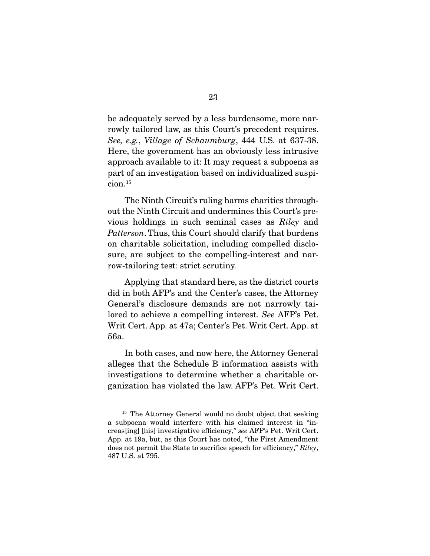be adequately served by a less burdensome, more narrowly tailored law, as this Court's precedent requires. See, e.g., Village of Schaumburg, 444 U.S. at 637-38. Here, the government has an obviously less intrusive approach available to it: It may request a subpoena as part of an investigation based on individualized suspicion.15

 The Ninth Circuit's ruling harms charities throughout the Ninth Circuit and undermines this Court's previous holdings in such seminal cases as Riley and Patterson. Thus, this Court should clarify that burdens on charitable solicitation, including compelled disclosure, are subject to the compelling-interest and narrow-tailoring test: strict scrutiny.

 Applying that standard here, as the district courts did in both AFP's and the Center's cases, the Attorney General's disclosure demands are not narrowly tailored to achieve a compelling interest. See AFP's Pet. Writ Cert. App. at 47a; Center's Pet. Writ Cert. App. at 56a.

 In both cases, and now here, the Attorney General alleges that the Schedule B information assists with investigations to determine whether a charitable organization has violated the law. AFP's Pet. Writ Cert.

<sup>&</sup>lt;sup>15</sup> The Attorney General would no doubt object that seeking a subpoena would interfere with his claimed interest in "increas[ing] [his] investigative efficiency," see AFP's Pet. Writ Cert. App. at 19a, but, as this Court has noted, "the First Amendment does not permit the State to sacrifice speech for efficiency," Riley, 487 U.S. at 795.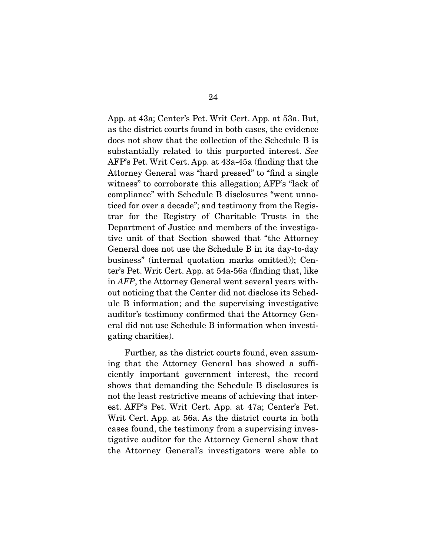App. at 43a; Center's Pet. Writ Cert. App. at 53a. But, as the district courts found in both cases, the evidence does not show that the collection of the Schedule B is substantially related to this purported interest. See AFP's Pet. Writ Cert. App. at 43a-45a (finding that the Attorney General was "hard pressed" to "find a single witness" to corroborate this allegation; AFP's "lack of compliance" with Schedule B disclosures "went unnoticed for over a decade"; and testimony from the Registrar for the Registry of Charitable Trusts in the Department of Justice and members of the investigative unit of that Section showed that "the Attorney General does not use the Schedule B in its day-to-day business" (internal quotation marks omitted)); Center's Pet. Writ Cert. App. at 54a-56a (finding that, like in AFP, the Attorney General went several years without noticing that the Center did not disclose its Schedule B information; and the supervising investigative auditor's testimony confirmed that the Attorney General did not use Schedule B information when investigating charities).

 Further, as the district courts found, even assuming that the Attorney General has showed a sufficiently important government interest, the record shows that demanding the Schedule B disclosures is not the least restrictive means of achieving that interest. AFP's Pet. Writ Cert. App. at 47a; Center's Pet. Writ Cert. App. at 56a. As the district courts in both cases found, the testimony from a supervising investigative auditor for the Attorney General show that the Attorney General's investigators were able to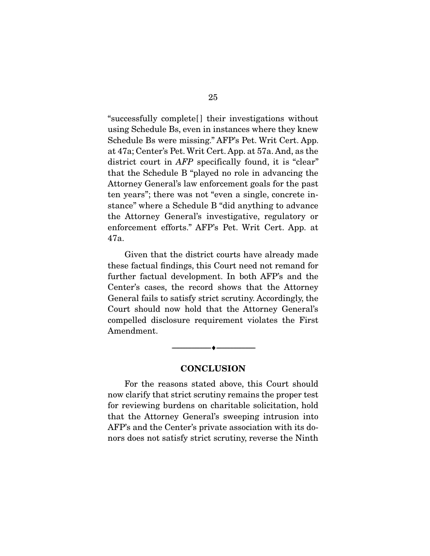"successfully complete[ ] their investigations without using Schedule Bs, even in instances where they knew Schedule Bs were missing." AFP's Pet. Writ Cert. App. at 47a; Center's Pet. Writ Cert. App. at 57a. And, as the district court in *AFP* specifically found, it is "clear" that the Schedule B "played no role in advancing the Attorney General's law enforcement goals for the past ten years"; there was not "even a single, concrete instance" where a Schedule B "did anything to advance the Attorney General's investigative, regulatory or enforcement efforts." AFP's Pet. Writ Cert. App. at 47a.

 Given that the district courts have already made these factual findings, this Court need not remand for further factual development. In both AFP's and the Center's cases, the record shows that the Attorney General fails to satisfy strict scrutiny. Accordingly, the Court should now hold that the Attorney General's compelled disclosure requirement violates the First Amendment.

#### **CONCLUSION**

--------------------------------- ♦ ---------------------------------

For the reasons stated above, this Court should now clarify that strict scrutiny remains the proper test for reviewing burdens on charitable solicitation, hold that the Attorney General's sweeping intrusion into AFP's and the Center's private association with its donors does not satisfy strict scrutiny, reverse the Ninth